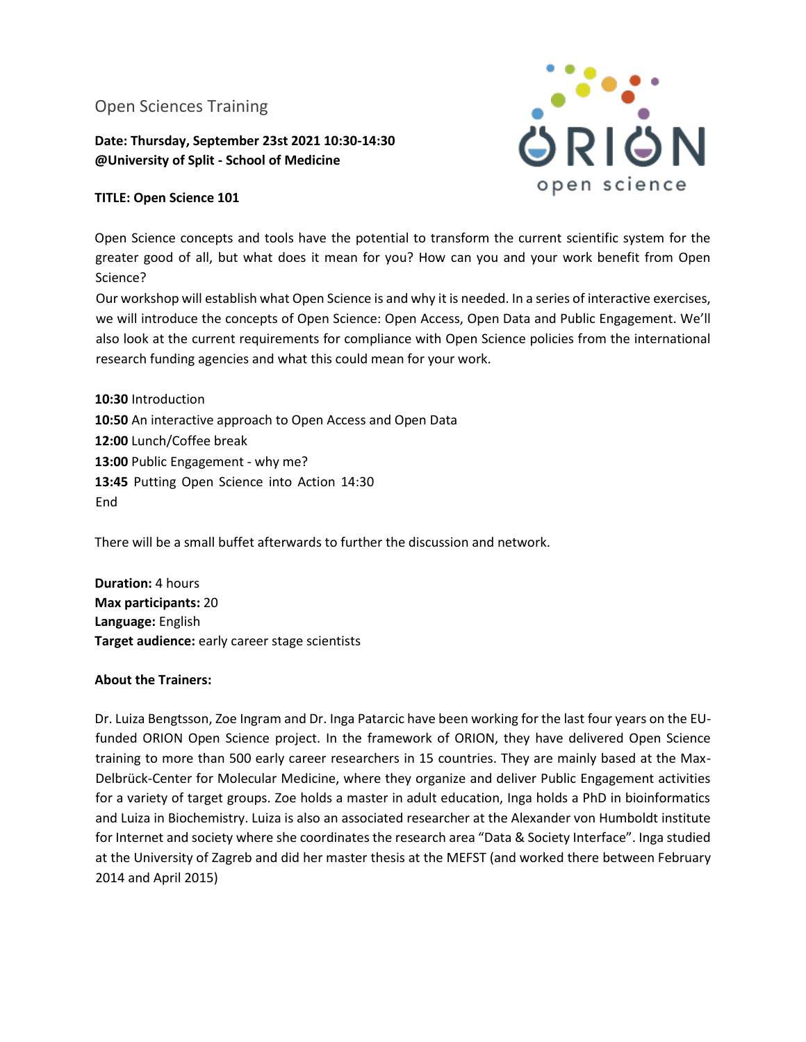# Open Sciences Training

## **Date: Thursday, September 23st 2021 10:30-14:30 @University of Split - School of Medicine**



## **TITLE: Open Science 101**

Open Science concepts and tools have the potential to transform the current scientific system for the greater good of all, but what does it mean for you? How can you and your work benefit from Open Science?

Our workshop will establish what Open Science is and why it is needed. In a series of interactive exercises, we will introduce the concepts of Open Science: Open Access, Open Data and Public Engagement. We'll also look at the current requirements for compliance with Open Science policies from the international research funding agencies and what this could mean for your work.

**10:30** Introduction **10:50** An interactive approach to Open Access and Open Data **12:00** Lunch/Coffee break 13:00 Public Engagement - why me? **13:45** Putting Open Science into Action 14:30 End

There will be a small buffet afterwards to further the discussion and network.

**Duration:** 4 hours **Max participants:** 20 **Language:** English **Target audience:** early career stage scientists

### **About the Trainers:**

Dr. Luiza Bengtsson, Zoe Ingram and Dr. Inga Patarcic have been working for the last four years on the EUfunded ORION Open Science project. In the framework of ORION, they have delivered Open Science training to more than 500 early career researchers in 15 countries. They are mainly based at the Max-Delbrück-Center for Molecular Medicine, where they organize and deliver Public Engagement activities for a variety of target groups. Zoe holds a master in adult education, Inga holds a PhD in bioinformatics and Luiza in Biochemistry. Luiza is also an associated researcher at the Alexander von Humboldt institute for Internet and society where she coordinates the research area "Data & Society Interface". Inga studied at the University of Zagreb and did her master thesis at the MEFST (and worked there between February 2014 and April 2015)